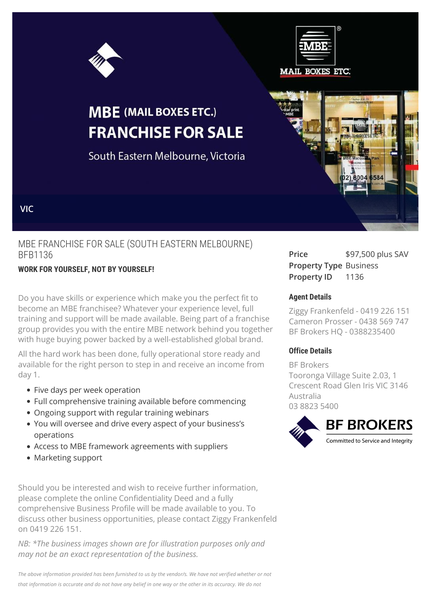



# **MBE (MAIL BOXES ETC.) FRANCHISE FOR SALE**

South Eastern Melbourne, Victoria



#### **VIC**

# MBE FRANCHISE FOR SALE (SOUTH EASTERN MELBOURNE) BFB1136

## **WORK FOR YOURSELF, NOT BY YOURSELF!**

Do you have skills or experience which make you the perfect fit to become an MBE franchisee? Whatever your experience level, full training and support will be made available. Being part of a franchise group provides you with the entire MBE network behind you together with huge buying power backed by a well-established global brand.

All the hard work has been done, fully operational store ready and available for the right person to step in and receive an income from day 1.

- Five days per week operation
- Full comprehensive training available before commencing
- Ongoing support with regular training webinars
- You will oversee and drive every aspect of your business's operations
- Access to MBE framework agreements with suppliers
- Marketing support

Should you be interested and wish to receive further information, please complete the online Confidentiality Deed and a fully comprehensive Business Profile will be made available to you. To discuss other business opportunities, please contact Ziggy Frankenfeld on 0419 226 151.

*NB: \*The business images shown are for illustration purposes only and may not be an exact representation of the business.*

*The above information provided has been furnished to us by the vendor/s. We have not verified whether or not that information is accurate and do not have any belief in one way or the other in its accuracy. We do not*

Price \$97,500 plus SAV **Property Type** Business **Property ID** 1136

## **Agent Details**

Ziggy Frankenfeld - 0419 226 151 Cameron Prosser - 0438 569 747 BF Brokers HQ - 0388235400

#### **Office Details**

BF Brokers Tooronga Village Suite 2.03, 1 Crescent Road Glen Iris VIC 3146 Australia 03 8823 5400